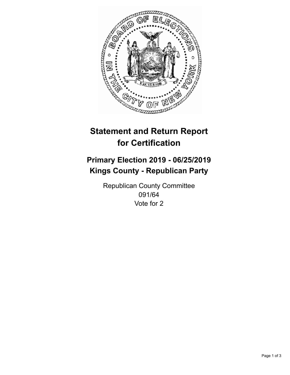

## **Statement and Return Report for Certification**

## **Primary Election 2019 - 06/25/2019 Kings County - Republican Party**

Republican County Committee 091/64 Vote for 2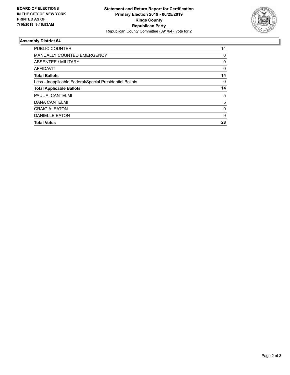

## **Assembly District 64**

| <b>PUBLIC COUNTER</b>                                    | 14 |
|----------------------------------------------------------|----|
| <b>MANUALLY COUNTED EMERGENCY</b>                        | 0  |
| ABSENTEE / MILITARY                                      | 0  |
| <b>AFFIDAVIT</b>                                         | 0  |
| <b>Total Ballots</b>                                     | 14 |
| Less - Inapplicable Federal/Special Presidential Ballots | 0  |
| <b>Total Applicable Ballots</b>                          | 14 |
| PAUL A. CANTELMI                                         | 5  |
| <b>DANA CANTELMI</b>                                     | 5  |
| CRAIG A. EATON                                           | 9  |
| <b>DANIELLE EATON</b>                                    | 9  |
| <b>Total Votes</b>                                       | 28 |